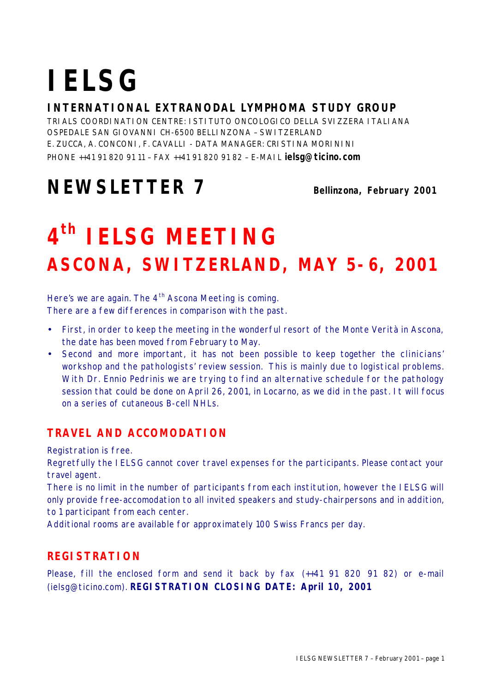# **IELSG**

#### **INTERNATIONAL EXTRANODAL LYMPHOMA STUDY GROUP**

TRIALS COORDINATION CENTRE: ISTITUTO ONCOLOGICO DELLA SVIZZERA ITALIANA OSPEDALE SAN GIOVANNI CH-6500 BELLINZONA – SWITZERLAND E. ZUCCA, A. CONCONI, F. CAVALLI - DATA MANAGER: CRISTINA MORININI PHONE ++41 91 820 91 11 – FAX ++41 91 820 91 82 – E-MAIL **ielsg@ticino.com**

### **NEWSLETTER 7** Bellinzona, February 2001

## **4 th IELSG MEETING ASCONA, SWITZERLAND, MAY 5-6, 2001**

Here's we are again. The  $4<sup>th</sup>$  Ascona Meeting is coming. There are a few differences in comparison with the past.

- First, in order to keep the meeting in the wonderful resort of the Monte Verità in Ascona, the date has been moved from February to May.
- Second and more important, it has not been possible to keep together the clinicians' workshop and the pathologists' review session. This is mainly due to logistical problems. With Dr. Ennio Pedrinis we are trying to find an alternative schedule for the pathology session that could be done on April 26, 2001, in Locarno, as we did in the past. It will focus on a series of cutaneous B-cell NHLs.

#### **TRAVEL AND ACCOMODATION**

Registration is free.

Regretfully the IELSG cannot cover travel expenses for the participants. Please contact your travel agent.

There is no limit in the number of participants from each institution, however the IELSG will only provide free-accomodation to all invited speakers and study-chairpersons and in addition, to 1 participant from each center.

Additional rooms are available for approximately 100 Swiss Francs per day.

#### **REGISTRATION**

Please, fill the enclosed form and send it back by fax (++41 91 820 91 82) or e-mail (ielsg@ticino.com). **REGISTRATION CLOSING DATE: April 10, 2001**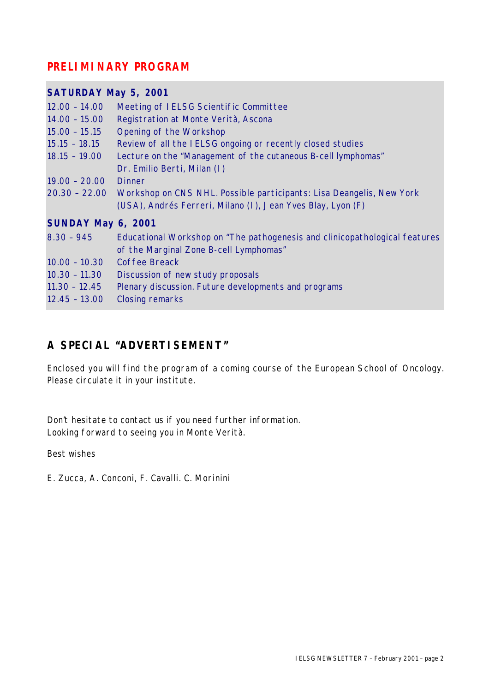#### **PRELIMINARY PROGRAM**

| <b>SATURDAY May 5, 2001</b> |                                                                             |
|-----------------------------|-----------------------------------------------------------------------------|
| $12.00 - 14.00$             | Meeting of IELSG Scientific Committee                                       |
| $14.00 - 15.00$             | Registration at Monte Verità, Ascona                                        |
| $15.00 - 15.15$             | <b>Opening of the Workshop</b>                                              |
| $15.15 - 18.15$             | Review of all the IELSG ongoing or recently closed studies                  |
| $18.15 - 19.00$             | Lecture on the "Management of the cutaneous B-cell lymphomas"               |
|                             | Dr. Emilio Berti, Milan (I)                                                 |
| $19.00 - 20.00$             | <b>Dinner</b>                                                               |
| $20.30 - 22.00$             | Workshop on CNS NHL. Possible participants: Lisa Deangelis, New York        |
|                             | (USA), Andrés Ferreri, Milano (I), Jean Yves Blay, Lyon (F)                 |
| SUNDAY May 6, 2001          |                                                                             |
| $8.30 - 945$                | Educational Workshop on "The pathogenesis and clinicopathological features" |
|                             | of the Marginal Zone B-cell Lymphomas"                                      |
| $10.00 - 10.30$             | <b>Coffee Breack</b>                                                        |
| $10.30 - 11.30$             | Discussion of new study proposals                                           |
| $11.30 - 12.45$             | Plenary discussion. Future developments and programs                        |
| $12.45 - 13.00$             | <b>Closing remarks</b>                                                      |

#### **A SPECIAL "ADVERTISEMENT"**

Enclosed you will find the program of a coming course of the European School of Oncology. Please circulate it in your institute.

Don't hesitate to contact us if you need further information. Looking forward to seeing you in Monte Verità.

Best wishes

*E. Zucca, A. Conconi, F. Cavalli. C. Morinini*